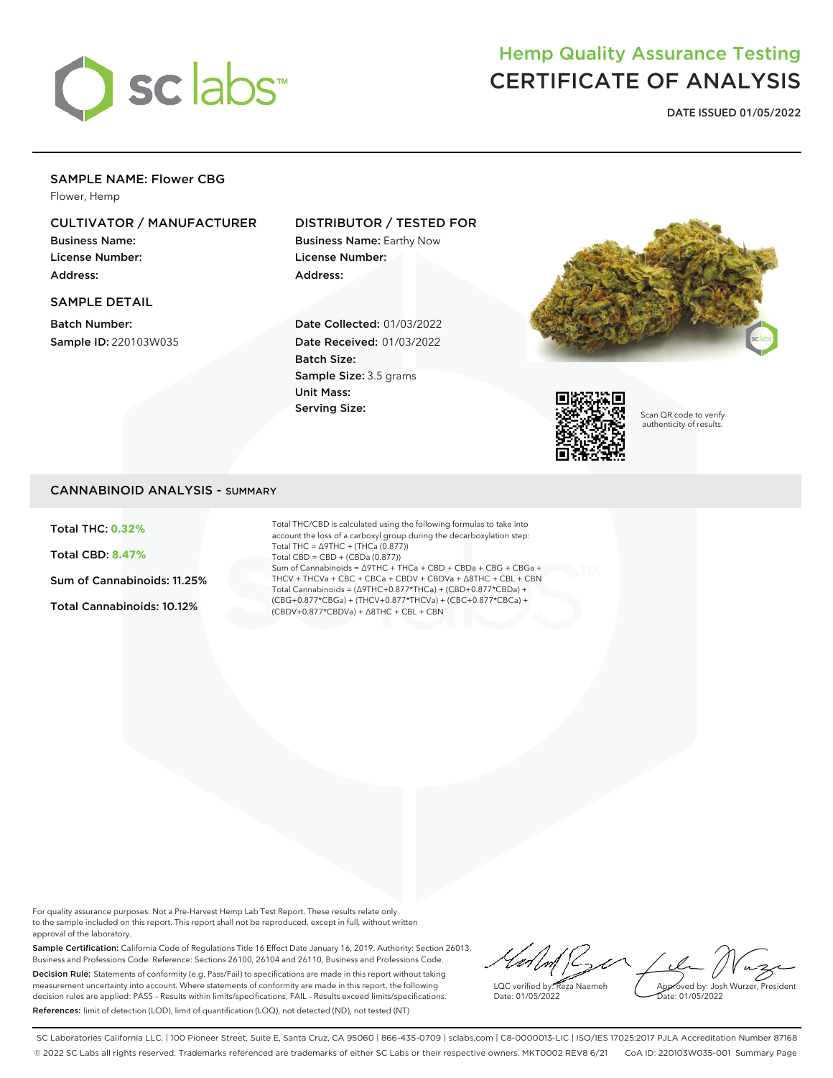

# Hemp Quality Assurance Testing CERTIFICATE OF ANALYSIS

**DATE ISSUED 01/05/2022**

## SAMPLE NAME: Flower CBG

Flower, Hemp

# CULTIVATOR / MANUFACTURER

Business Name: License Number: Address:

### SAMPLE DETAIL

Batch Number: Sample ID: 220103W035

# DISTRIBUTOR / TESTED FOR

Business Name: Earthy Now License Number: Address:

Date Collected: 01/03/2022 Date Received: 01/03/2022 Batch Size: Sample Size: 3.5 grams Unit Mass: Serving Size:





Scan QR code to verify authenticity of results.

### CANNABINOID ANALYSIS - SUMMARY

Total THC: **0.32%**

Total CBD: **8.47%**

Sum of Cannabinoids: 11.25%

Total Cannabinoids: 10.12%

Total THC/CBD is calculated using the following formulas to take into account the loss of a carboxyl group during the decarboxylation step: Total THC = ∆9THC + (THCa (0.877)) Total CBD = CBD + (CBDa (0.877)) Sum of Cannabinoids = ∆9THC + THCa + CBD + CBDa + CBG + CBGa + THCV + THCVa + CBC + CBCa + CBDV + CBDVa + ∆8THC + CBL + CBN Total Cannabinoids = (∆9THC+0.877\*THCa) + (CBD+0.877\*CBDa) + (CBG+0.877\*CBGa) + (THCV+0.877\*THCVa) + (CBC+0.877\*CBCa) + (CBDV+0.877\*CBDVa) + ∆8THC + CBL + CBN

For quality assurance purposes. Not a Pre-Harvest Hemp Lab Test Report. These results relate only to the sample included on this report. This report shall not be reproduced, except in full, without written approval of the laboratory.

Sample Certification: California Code of Regulations Title 16 Effect Date January 16, 2019. Authority: Section 26013, Business and Professions Code. Reference: Sections 26100, 26104 and 26110, Business and Professions Code. Decision Rule: Statements of conformity (e.g. Pass/Fail) to specifications are made in this report without taking measurement uncertainty into account. Where statements of conformity are made in this report, the following decision rules are applied: PASS – Results within limits/specifications, FAIL – Results exceed limits/specifications. References: limit of detection (LOD), limit of quantification (LOQ), not detected (ND), not tested (NT)

Ber Le LQC verified by: Reza Naemeh Approved by: Josh Wurzer, President Date: 01/05/2022 ate: 01/05/2022

SC Laboratories California LLC. | 100 Pioneer Street, Suite E, Santa Cruz, CA 95060 | 866-435-0709 | sclabs.com | C8-0000013-LIC | ISO/IES 17025:2017 PJLA Accreditation Number 87168 © 2022 SC Labs all rights reserved. Trademarks referenced are trademarks of either SC Labs or their respective owners. MKT0002 REV8 6/21 CoA ID: 220103W035-001 Summary Page